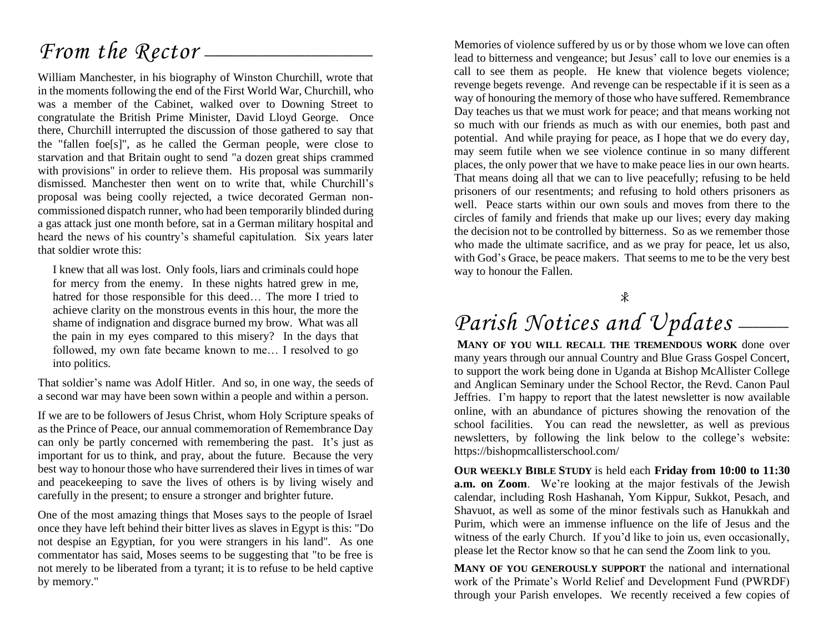# *From the Rector* —

William Manchester, in his biography of Winston Churchill, wrote that in the moments following the end of the First World War, Churchill, who was a member of the Cabinet, walked over to Downing Street to congratulate the British Prime Minister, David Lloyd George. Once there, Churchill interrupted the discussion of those gathered to say that the "fallen foe[s]", as he called the German people, were close to starvation and that Britain ought to send "a dozen great ships crammed with provisions" in order to relieve them. His proposal was summarily dismissed. Manchester then went on to write that, while Churchill's proposal was being coolly rejected, a twice decorated German noncommissioned dispatch runner, who had been temporarily blinded during a gas attack just one month before, sat in a German military hospital and heard the news of his country's shameful capitulation. Six years later that soldier wrote this:

I knew that all was lost. Only fools, liars and criminals could hope for mercy from the enemy. In these nights hatred grew in me, hatred for those responsible for this deed… The more I tried to achieve clarity on the monstrous events in this hour, the more the shame of indignation and disgrace burned my brow. What was all the pain in my eyes compared to this misery? In the days that followed, my own fate became known to me… I resolved to go into politics.

That soldier's name was Adolf Hitler. And so, in one way, the seeds of a second war may have been sown within a people and within a person.

If we are to be followers of Jesus Christ, whom Holy Scripture speaks of as the Prince of Peace, our annual commemoration of Remembrance Day can only be partly concerned with remembering the past. It's just as important for us to think, and pray, about the future. Because the very best way to honour those who have surrendered their lives in times of war and peacekeeping to save the lives of others is by living wisely and carefully in the present; to ensure a stronger and brighter future.

One of the most amazing things that Moses says to the people of Israel once they have left behind their bitter lives as slaves in Egypt is this: "Do not despise an Egyptian, for you were strangers in his land". As one commentator has said, Moses seems to be suggesting that "to be free is not merely to be liberated from a tyrant; it is to refuse to be held captive by memory."

Memories of violence suffered by us or by those whom we love can often lead to bitterness and vengeance; but Jesus' call to love our enemies is a call to see them as people. He knew that violence begets violence; revenge begets revenge. And revenge can be respectable if it is seen as a way of honouring the memory of those who have suffered. Remembrance Day teaches us that we must work for peace; and that means working not so much with our friends as much as with our enemies, both past and potential. And while praying for peace, as I hope that we do every day, may seem futile when we see violence continue in so many different places, the only power that we have to make peace lies in our own hearts. That means doing all that we can to live peacefully; refusing to be held prisoners of our resentments; and refusing to hold others prisoners as well. Peace starts within our own souls and moves from there to the circles of family and friends that make up our lives; every day making the decision not to be controlled by bitterness. So as we remember those who made the ultimate sacrifice, and as we pray for peace, let us also, with God's Grace, be peace makers. That seems to me to be the very best way to honour the Fallen.

 $\ast$ 

# Parish Notices and Updates

**MANY OF YOU WILL RECALL THE TREMENDOUS WORK** done over many years through our annual Country and Blue Grass Gospel Concert, to support the work being done in Uganda at Bishop McAllister College and Anglican Seminary under the School Rector, the Revd. Canon Paul Jeffries. I'm happy to report that the latest newsletter is now available online, with an abundance of pictures showing the renovation of the school facilities. You can read the newsletter, as well as previous newsletters, by following the link below to the college's website: https://bishopmcallisterschool.com/

**OUR WEEKLY BIBLE STUDY** is held each **Friday from 10:00 to 11:30 a.m. on Zoom**. We're looking at the major festivals of the Jewish calendar, including Rosh Hashanah, Yom Kippur, Sukkot, Pesach, and Shavuot, as well as some of the minor festivals such as Hanukkah and Purim, which were an immense influence on the life of Jesus and the witness of the early Church. If you'd like to join us, even occasionally, please let the Rector know so that he can send the Zoom link to you.

**MANY OF YOU GENEROUSLY SUPPORT** the national and international work of the Primate's World Relief and Development Fund (PWRDF) through your Parish envelopes. We recently received a few copies of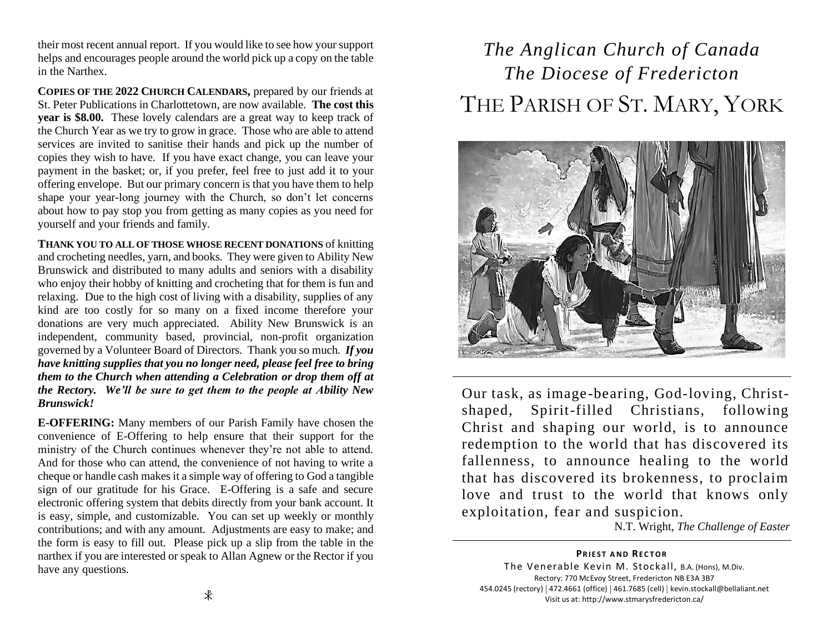their most recent annual report. If you would like to see how your support helps and encourages people around the world pick up a copy on the table in the Narthex.

**COPIES OF THE 2022 CHURCH CALENDARS,** prepared by our friends at St. Peter Publications in Charlottetown, are now available. **The cost this year is \$8.00.** These lovely calendars are a great way to keep track of the Church Year as we try to grow in grace. Those who are able to attend services are invited to sanitise their hands and pick up the number of copies they wish to have. If you have exact change, you can leave your payment in the basket; or, if you prefer, feel free to just add it to your offering envelope. But our primary concern is that you have them to help shape your year-long journey with the Church, so don't let concerns about how to pay stop you from getting as many copies as you need for yourself and your friends and family.

**THANK YOU TO ALL OF THOSE WHOSE RECENT DONATIONS** of knitting and crocheting needles, yarn, and books. They were given to Ability New Brunswick and distributed to many adults and seniors with a disability who enjoy their hobby of knitting and crocheting that for them is fun and relaxing. Due to the high cost of living with a disability, supplies of any kind are too costly for so many on a fixed income therefore your donations are very much appreciated. Ability New Brunswick is an independent, community based, provincial, non-profit organization governed by a Volunteer Board of Directors. Thank you so much. *If you have knitting supplies that you no longer need, please feel free to bring them to the Church when attending a Celebration or drop them off at the Rectory. We'll be sure to get them to the people at Ability New Brunswick!*

**E-OFFERING:** Many members of our Parish Family have chosen the convenience of E-Offering to help ensure that their support for the ministry of the Church continues whenever they're not able to attend. And for those who can attend, the convenience of not having to write a cheque or handle cash makes it a simple way of offering to God a tangible sign of our gratitude for his Grace. E-Offering is a safe and secure electronic offering system that debits directly from your bank account. It is easy, simple, and customizable. You can set up weekly or monthly contributions; and with any amount. Adjustments are easy to make; and the form is easy to fill out. Please pick up a slip from the table in the narthex if you are interested or speak to Allan Agnew or the Rector if you have any questions.

# *The Anglican Church of Canada The Diocese of Fredericton* THE PARISH OF ST. MARY, YORK



Our task, as image-bearing, God-loving, Christshaped, Spirit-filled Christians, following Christ and shaping our world, is to announce redemption to the world that has discovered its fallenness, to announce healing to the world that has discovered its brokenness, to proclaim love and trust to the world that knows only exploitation, fear and suspicion.

N.T. Wright, *The Challenge of Easter*

**PRIEST AND RECTOR** The Venerable Kevin M. Stockall, B.A. (Hons), M.Div. Rectory: 770 McEvoy Street, Fredericton NB E3A 3B7 454.0245 (rectory) | 472.4661 (office) | 461.7685 (cell) | kevin.stockall@bellaliant.net Visit us at: http://www.stmarysfredericton.ca/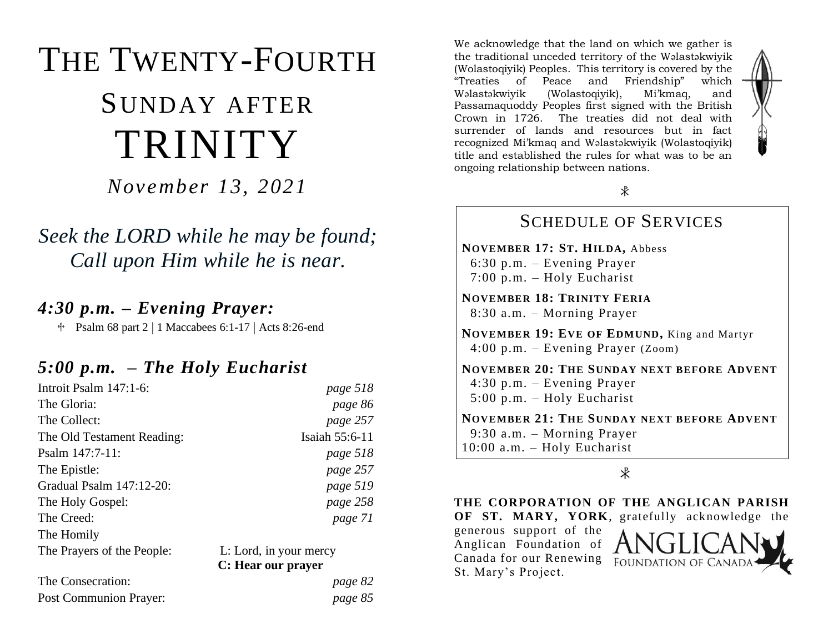# THE TWENTY-FOURTH SUNDAY AFTER TRINITY

*November 13, 2021*

*Seek the LORD while he may be found; Call upon Him while he is near.*

## *4:30 p.m. – Evening Prayer:*

 $\text{\textdegree}$  Psalm 68 part 2 | 1 Maccabees 6:1-17 | Acts 8:26-end

### *5:00 p.m. – The Holy Eucharist*

| Introit Psalm 147:1-6:     | page 518               |
|----------------------------|------------------------|
| The Gloria:                | page 86                |
| The Collect:               | page 257               |
| The Old Testament Reading: | Isaiah 55:6-11         |
| Psalm $147:7-11$ :         | page 518               |
| The Epistle:               | page 257               |
| Gradual Psalm 147:12-20:   | page 519               |
| The Holy Gospel:           | page 258               |
| The Creed:                 | page 71                |
| The Homily                 |                        |
| The Prayers of the People: | L: Lord, in your mercy |
|                            | C: Hear our prayer     |
| The Consecration:          | page 82                |
| Post Communion Prayer:     | page 85                |

We acknowledge that the land on which we gather is the traditional unceded territory of the Wəlastəkwiyik (Wolastoqiyik) Peoples. This territory is covered by the "Treaties of Peace and Friendship" which Wəlastəkwiyik (Wolastoqiyik), Mi'kmaq, and Passamaquoddy Peoples first signed with the British Crown in 1726. The treaties did not deal with surrender of lands and resources but in fact recognized Mi'kmaq and Wəlastəkwiyik (Wolastoqiyik) title and established the rules for what was to be an ongoing relationship between nations.



#### SCHEDULE OF SERVICES

**NOVEMBER 17: ST. HILDA,** Abbess 6:30 p.m. – Evening Prayer 7:00 p.m. – Holy Eucharist

**NOVEMBER 18: TRINITY FERIA** 8:30 a.m. – Morning Prayer

**NOVEMBER 19: EVE OF EDMUND,** King and Martyr 4:00 p.m. – Evening Prayer (Zoom)

**NOVEMBER 20: THE SUNDAY NEXT BEFORE ADVENT** 4:30 p.m. – Evening Prayer 5:00 p.m. – Holy Eucharist

**NOVEMBER 21: THE SUNDAY NEXT BEFORE ADVENT** 9:30 a.m. – Morning Prayer 10:00 a.m. – Holy Eucharist

 $\mathcal{R}$ 

**THE CORPORATION OF THE ANGLICAN PARISH OF ST. MARY, YORK**, gratefully acknowledge the generous support of the Anglican Foundation of Canada for our Renewing FOUNDATION OF CAN. St. Mary's Project.